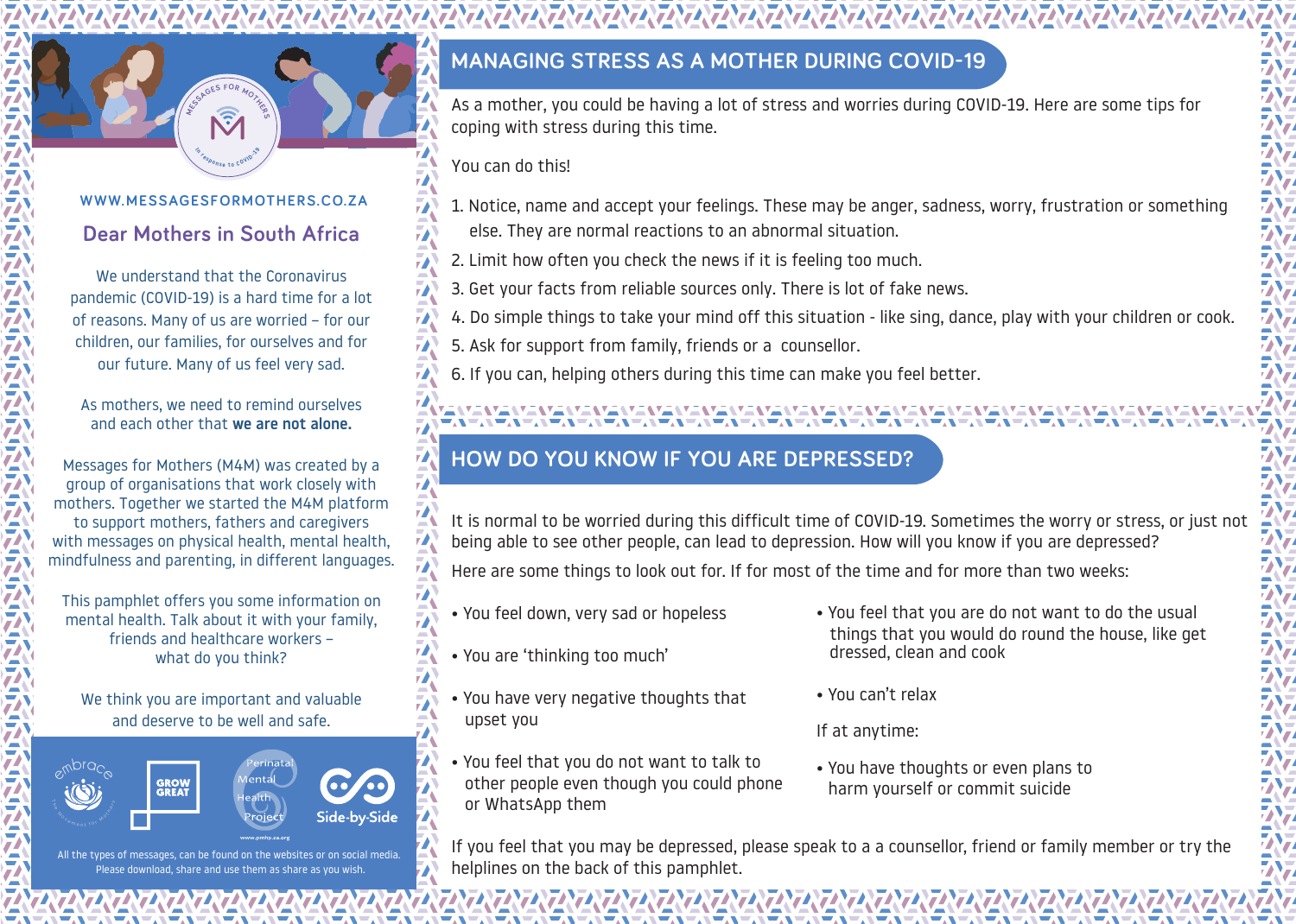#### **WWW.MESSAGESFORMOTHERS.CO.ZA**

**For the Sponse to COVID 1919** 

response to COVID-19

In

**P B ECECCCCCCCC** 

**<sup>M</sup>ESSAGE<sup>S</sup> <sup>F</sup>O<sup>R</sup> <sup>M</sup>OTHER<sup>S</sup>**

#### **Dear Mothers in South Africa**

We understand that the Coronavirus pandemic (COVID-19) is a hard time for a lot of reasons. Many of us are worried – for our children, our families, for ourselves and for our future. Many of us feel very sad.

As mothers, we need to remind ourselves and each other that we are not alone.

Messages for Mothers (M4M) was created by a group of organisations that work closely with mothers. Together we started the M4M platform to support mothers, fathers and caregivers with messages on physical health, mental health, mindfulness and parenting, in different languages.

This pamphlet offers you some information on mental health. Talk about it with your family, friends and healthcare workers – what do you think?

We think you are important and valuable and deserve to be well and safe.



All the types of messages, can be found on the websites or on social media. Please download, share and use them as share as you wish

## **MANAGING STRESS AS A MOTHER DURING COVID-19**

As a mother, you could be having a lot of stress and worries during COVID-19. Here are some tips for coping with stress during this time.

You can do this!

- 1. Notice, name and accept your feelings. These may be anger, sadness, worry, frustration or something else. They are normal reactions to an abnormal situation.
- 2. Limit how often you check the news if it is feeling too much.
- 3. Get your facts from reliable sources only. There is lot of fake news.
- 4. Do simple things to take your mind off this situation like sing, dance, play with your children or cook.
- 5. Ask for support from family, friends or a counsellor.
- 6. If you can, helping others during this time can make you feel better.

# **HOW DO YOU KNOW IF YOU ARE DEPRESSED?**

It is normal to be worried during this difficult time of COVID-19. Sometimes the worry or stress, or just not being able to see other people, can lead to depression. How will you know if you are depressed?

Here are some things to look out for. If for most of the time and for more than two weeks:

- You feel down, very sad or hopeless
- You are 'thinking too much'
- You have very negative thoughts that upset you
- You feel that you do not want to talk to other people even though you could phone or WhatsApp them

ENEREN ENERGINENER ENERGINERENER ENERGINERTENER ERTERTINER EINER EINER EINER EINER EINER EINER EINER EINER EIN

- You feel that you are do not want to do the usual things that you would do round the house, like get dressed, clean and cook
- You can't relax
- If at anytime:
- You have thoughts or even plans to harm yourself or commit suicide

If you feel that you may be depressed, please speak to a a counsellor, friend or family member or try the helplines on the back of this pamphlet.